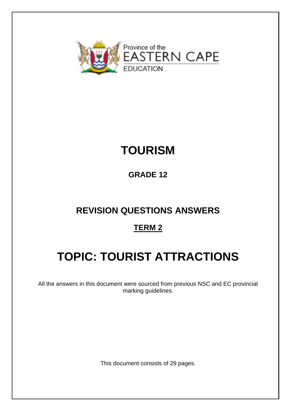

# **TOURISM**

# **GRADE 12**

# **REVISION QUESTIONS ANSWERS**

# **TERM 2**

# **TOPIC: TOURIST ATTRACTIONS**

All the answers in this document were sourced from previous NSC and EC provincial marking guidelines.

This document consists of 29 pages.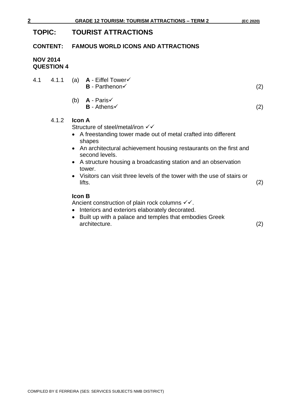# **TOPIC: TOURIST ATTRACTIONS**

#### **CONTENT: FAMOUS WORLD ICONS AND ATTRACTIONS**

### **NOV 2014 QUESTION 4**

| 4.1 | 4.1.1 | (a) $A - E$ iffel Tower $\checkmark$<br>$B$ - Parthenon $\checkmark$                                                                                                                                  | (2) |
|-----|-------|-------------------------------------------------------------------------------------------------------------------------------------------------------------------------------------------------------|-----|
|     |       | (b) $A - Paris \checkmark$<br>$B -$ Athens $\checkmark$                                                                                                                                               | (2) |
|     | 4.1.2 | <b>Icon A</b><br>Structure of steel/metal/iron √√<br>• A freestanding tower made out of metal crafted into different<br>shapes<br>• An architectural achievement housing restaurants on the first and |     |

- An architectural achievement housing restaurants on the first and second levels.
- A structure housing a broadcasting station and an observation tower.
- Visitors can visit three levels of the tower with the use of stairs or  $\text{lifts.} \tag{2}$

### **Icon B**

Ancient construction of plain rock columns  $√$ .

- Interiors and exteriors elaborately decorated.
- Built up with a palace and temples that embodies Greek architecture. (2)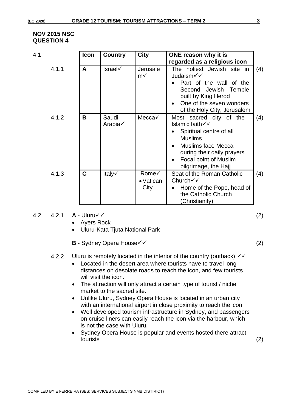#### **NOV 2015 NSC QUESTION 4**

| 4.1   | <b>Icon</b> | <b>Country</b>   | <b>City</b>                        | ONE reason why it is<br>regarded as a religious icon                                                                                                                                                           |     |
|-------|-------------|------------------|------------------------------------|----------------------------------------------------------------------------------------------------------------------------------------------------------------------------------------------------------------|-----|
| 4.1.1 | A           | <b>Israel√</b>   | Jerusale<br>$m\checkmark$          | The holiest Jewish site in<br>Judaism√√<br>Part of the wall of the<br>Second Jewish Temple<br>built by King Herod<br>One of the seven wonders<br>of the Holy City, Jerusalem                                   | (4) |
| 4.1.2 | B           | Saudi<br>Arabia√ | Mecca√                             | Most sacred city of the<br>Islamic faith $\checkmark$<br>Spiritual centre of all<br><b>Muslims</b><br><b>Muslims face Mecca</b><br>during their daily prayers<br>Focal point of Muslim<br>pilgrimage, the Hajj | (4) |
| 4.1.3 | C           | Italy√           | Rome√<br>$\bullet$ Vatican<br>City | Seat of the Roman Catholic<br>Church√√<br>Home of the Pope, head of<br>the Catholic Church<br>(Christianity)                                                                                                   | (4) |

#### 4.2 4.2.1 **A** - Uluru✓✓ (2)

- Ayers Rock
- Uluru-Kata Tjuta National Park
- **B** Sydney Opera House✓✓ (2)
- 4.2.2 Uluru is remotely located in the interior of the country (outback)  $\checkmark\checkmark$ 
	- Located in the desert area where tourists have to travel long distances on desolate roads to reach the icon, and few tourists will visit the icon.
	- The attraction will only attract a certain type of tourist / niche market to the sacred site.
	- Unlike Uluru, Sydney Opera House is located in an urban city with an international airport in close proximity to reach the icon
	- Well developed tourism infrastructure in Sydney, and passengers on cruise liners can easily reach the icon via the harbour, which is not the case with Uluru.
	- Sydney Opera House is popular and events hosted there attract tourists (2)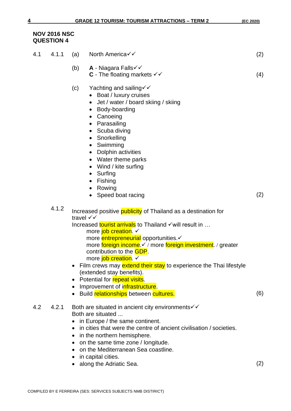#### **NOV 2016 NSC QUESTION 4**

| 4.1 | 4.1.1 | (a)       | North America√√                                                                                                                                                                                                                                                                                                                                                                                                                                                                                                                                     | (2) |
|-----|-------|-----------|-----------------------------------------------------------------------------------------------------------------------------------------------------------------------------------------------------------------------------------------------------------------------------------------------------------------------------------------------------------------------------------------------------------------------------------------------------------------------------------------------------------------------------------------------------|-----|
|     |       | (b)       | A - Niagara Falls√√<br><b>C</b> - The floating markets $\checkmark\checkmark$                                                                                                                                                                                                                                                                                                                                                                                                                                                                       | (4) |
|     |       | (c)       | Yachting and sailing $\checkmark$<br>Boat / luxury cruises<br>Jet / water / board skiing / skiing<br>Body-boarding<br>$\bullet$<br>Canoeing<br>$\bullet$<br>Parasailing<br>$\bullet$<br>Scuba diving<br>$\bullet$<br>Snorkelling<br>$\bullet$<br>Swimming<br>$\bullet$<br>Dolphin activities<br>$\bullet$<br>Water theme parks<br>$\bullet$<br>Wind / kite surfing<br>$\bullet$<br>Surfing<br>$\bullet$<br>Fishing<br>$\bullet$<br>Rowing<br>$\bullet$<br>Speed boat racing                                                                         | (2) |
|     | 4.1.2 |           | Increased positive <b>publicity</b> of Thailand as a destination for<br>travel √√<br>Increased tourist arrivals to Thailand √will result in<br>more job creation. ✓<br>more entrepreneurial opportunities.<br>more foreign income.√ / more foreign investment. / greater<br>contribution to the <b>GDP</b> .<br>more job creation. ✓<br>• Film crews may extend their stay to experience the Thai lifestyle<br>(extended stay benefits).<br>Potential for repeat visits.<br>Improvement of infrastructure.<br>Build relationships between cultures. | (6) |
| 4.2 | 4.2.1 | $\bullet$ | Both are situated in ancient city environments v v<br>Both are situated<br>in Europe / the same continent.<br>in cities that were the centre of ancient civilisation / societies.<br>in the northern hemisphere.<br>• on the same time zone / longitude.<br>on the Mediterranean Sea coastline.<br>in capital cities.<br>along the Adriatic Sea.                                                                                                                                                                                                    | (2) |
|     |       |           |                                                                                                                                                                                                                                                                                                                                                                                                                                                                                                                                                     |     |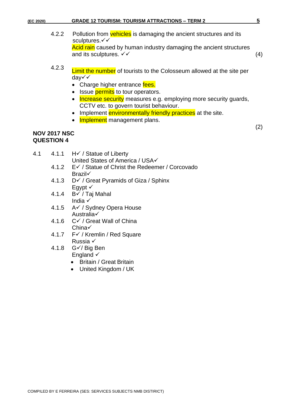| (EC 2020) |                                          | <b>GRADE 12 TOURISM: TOURISM ATTRACTIONS - TERM 2</b>                                                                                                                                                                                                                                                                                                                              | 5   |
|-----------|------------------------------------------|------------------------------------------------------------------------------------------------------------------------------------------------------------------------------------------------------------------------------------------------------------------------------------------------------------------------------------------------------------------------------------|-----|
|           | 4.2.2                                    | Pollution from vehicles is damaging the ancient structures and its<br>sculptures.√√<br>Acid rain caused by human industry damaging the ancient structures<br>and its sculptures. $\checkmark\checkmark$                                                                                                                                                                            | (4) |
|           | 4.2.3                                    | <b>Limit the number</b> of tourists to the Colosseum allowed at the site per<br>day√√<br>• Charge higher entrance fees.<br>Issue <i>permits</i> to tour operators.<br><b>Increase security</b> measures e.g. employing more security guards,<br>CCTV etc. to govern tourist behaviour.<br>Implement environmentally friendly practices at the site.<br>Implement management plans. |     |
|           | <b>NOV 2017 NSC</b><br><b>QUESTION 4</b> |                                                                                                                                                                                                                                                                                                                                                                                    | (2) |

- 4.1 4.1.1 H✓ / Statue of Liberty
	- United States of America / USA√ 4.1.2 E✓ / Statue of Christ the Redeemer / Corcovado Brazil✓
	- 4.1.3 D✓ / Great Pyramids of Giza / Sphinx Egypt  $\checkmark$
	- 4.1.4 B✓ / Taj Mahal India √
	- 4.1.5 A✓ / Sydney Opera House Australia✓
	- 4.1.6 C✓ / Great Wall of China China✓
	- 4.1.7 F✓ / Kremlin / Red Square Russia ✓
	- 4.1.8 G✓/ Big Ben England √
		- Britain / Great Britain
		- United Kingdom / UK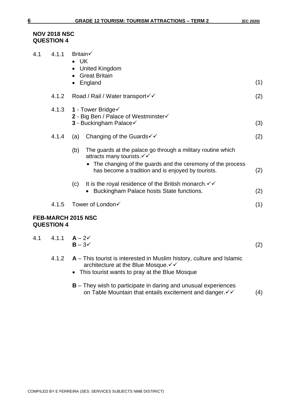#### **NOV 2018 NSC QUESTION 4**

| 4.1 | 4.1.1             | Britain√<br>$\bullet$ UK<br>United Kingdom<br>• Great Britain                                                                                                      |     |  |  |  |  |
|-----|-------------------|--------------------------------------------------------------------------------------------------------------------------------------------------------------------|-----|--|--|--|--|
|     |                   | • England                                                                                                                                                          | (1) |  |  |  |  |
|     | 4.1.2             | Road / Rail / Water transport√√                                                                                                                                    | (2) |  |  |  |  |
|     | 4.1.3             | 1 - Tower Bridge<br>2 - Big Ben / Palace of Westminster√<br><b>3 - Buckingham Palace√</b>                                                                          |     |  |  |  |  |
|     | 4.1.4             | Changing of the Guards <del>V</del><br>(a)                                                                                                                         | (2) |  |  |  |  |
|     |                   | (b)<br>The guards at the palace go through a military routine which<br>attracts many tourists. V V<br>• The changing of the guards and the ceremony of the process |     |  |  |  |  |
|     |                   | has become a tradition and is enjoyed by tourists.                                                                                                                 | (2) |  |  |  |  |
|     |                   | It is the royal residence of the British monarch. $\checkmark\checkmark$<br>(c)<br>Buckingham Palace hosts State functions.                                        | (2) |  |  |  |  |
|     | 4.1.5             | Tower of London√                                                                                                                                                   | (1) |  |  |  |  |
|     | <b>QUESTION 4</b> | <b>FEB-MARCH 2015 NSC</b>                                                                                                                                          |     |  |  |  |  |
| 4.1 | 4.1.1             | $A - 2V$<br>$B - 3\checkmark$                                                                                                                                      | (2) |  |  |  |  |
|     | 4.1.2             | $A$ – This tourist is interested in Muslim history, culture and Islamic<br>architecture at the Blue Mosque. V V<br>This tourist wants to pray at the Blue Mosque   |     |  |  |  |  |
|     |                   | $B$ – They wish to participate in daring and unusual experiences<br>on Table Mountain that entails excitement and danger. v v                                      | (4) |  |  |  |  |
|     |                   |                                                                                                                                                                    |     |  |  |  |  |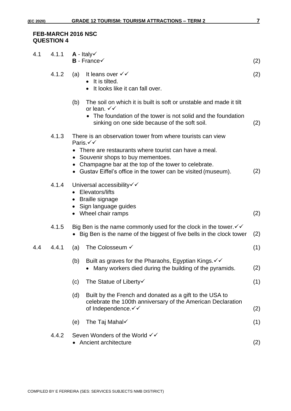#### **FEB-MARCH 2016 NSC QUESTION 4**

| 4.1 | 4.1.1 | $A - Italyv$<br>$B$ - France $\checkmark$                                                                                                                                                                                                                                                       | (2) |
|-----|-------|-------------------------------------------------------------------------------------------------------------------------------------------------------------------------------------------------------------------------------------------------------------------------------------------------|-----|
|     | 4.1.2 | It leans over √√<br>(a)<br>It is tilted.<br>• It looks like it can fall over.                                                                                                                                                                                                                   | (2) |
|     |       | The soil on which it is built is soft or unstable and made it tilt<br>(b)<br>or lean. $\checkmark\checkmark$<br>• The foundation of the tower is not solid and the foundation<br>sinking on one side because of the soft soil.                                                                  | (2) |
|     | 4.1.3 | There is an observation tower from where tourists can view<br>Paris.√√<br>There are restaurants where tourist can have a meal.<br>• Souvenir shops to buy mementoes.<br>• Champagne bar at the top of the tower to celebrate.<br>• Gustav Eiffel's office in the tower can be visited (museum). | (2) |
|     | 4.1.4 | Universal accessibility√√<br>Elevators/lifts<br>• Braille signage<br>· Sign language guides<br>• Wheel chair ramps                                                                                                                                                                              | (2) |
|     | 4.1.5 | Big Ben is the name commonly used for the clock in the tower. $\checkmark\checkmark$<br>• Big Ben is the name of the biggest of five bells in the clock tower                                                                                                                                   | (2) |
| 4.4 | 4.4.1 | The Colosseum √<br>(a)                                                                                                                                                                                                                                                                          | (1) |
|     |       | Built as graves for the Pharaohs, Egyptian Kings. V V<br>(b)<br>Many workers died during the building of the pyramids.                                                                                                                                                                          | (2) |
|     |       | The Statue of Liberty√<br>(c)                                                                                                                                                                                                                                                                   | (1) |
|     |       | (d)<br>Built by the French and donated as a gift to the USA to<br>celebrate the 100th anniversary of the American Declaration<br>of Independence. V V                                                                                                                                           | (2) |
|     |       | The Taj Mahal√<br>(e)                                                                                                                                                                                                                                                                           | (1) |
|     | 4.4.2 | Seven Wonders of the World √√<br>Ancient architecture                                                                                                                                                                                                                                           | (2) |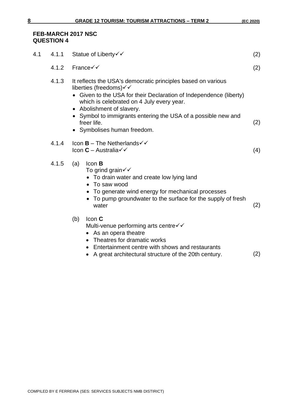#### **FEB-MARCH 2017 NSC QUESTION 4**

| 4.1 | 4.1.1 | Statue of Liberty√√                                                                                                                                                                                                                                                                                                                                                   | (2) |  |  |  |  |
|-----|-------|-----------------------------------------------------------------------------------------------------------------------------------------------------------------------------------------------------------------------------------------------------------------------------------------------------------------------------------------------------------------------|-----|--|--|--|--|
|     | 4.1.2 | France√√                                                                                                                                                                                                                                                                                                                                                              | (2) |  |  |  |  |
|     | 4.1.3 | It reflects the USA's democratic principles based on various<br>liberties (freedoms) $\checkmark$<br>Given to the USA for their Declaration of Independence (liberty)<br>which is celebrated on 4 July every year.<br>• Abolishment of slavery.<br>• Symbol to immigrants entering the USA of a possible new and<br>freer life.<br>(2)<br>• Symbolises human freedom. |     |  |  |  |  |
|     | 4.1.4 | Icon $B$ – The Netherlands $\checkmark$<br>Icon $C$ – Australia $\checkmark$                                                                                                                                                                                                                                                                                          | (4) |  |  |  |  |
|     | 4.1.5 | Icon B<br>(a)<br>To grind grain $\checkmark\checkmark$<br>• To drain water and create low lying land<br>• To saw wood<br>• To generate wind energy for mechanical processes<br>• To pump groundwater to the surface for the supply of fresh<br>water                                                                                                                  | (2) |  |  |  |  |
|     |       | (b)<br>Icon C<br>Multi-venue performing arts centre√√<br>• As an opera theatre<br>• Theatres for dramatic works<br>• Entertainment centre with shows and restaurants<br>A great architectural structure of the 20th century.                                                                                                                                          | (2) |  |  |  |  |
|     |       |                                                                                                                                                                                                                                                                                                                                                                       |     |  |  |  |  |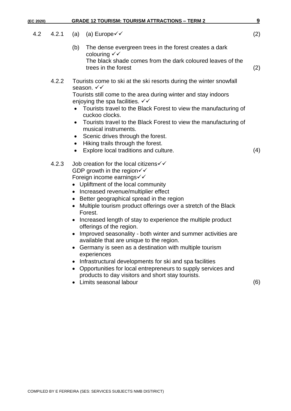| (EC 2020) |       |           | <b>GRADE 12 TOURISM: TOURISM ATTRACTIONS - TERM 2</b>                                                                 | 9   |
|-----------|-------|-----------|-----------------------------------------------------------------------------------------------------------------------|-----|
| 4.2       | 4.2.1 | (a)       | (a) Europe $\checkmark$                                                                                               | (2) |
|           |       | (b)       | The dense evergreen trees in the forest creates a dark<br>colouring $\checkmark\checkmark$                            |     |
|           |       |           | The black shade comes from the dark coloured leaves of the<br>trees in the forest                                     | (2) |
|           | 4.2.2 |           | Tourists come to ski at the ski resorts during the winter snowfall<br>season. √√                                      |     |
|           |       |           | Tourists still come to the area during winter and stay indoors<br>enjoying the spa facilities. $\checkmark\checkmark$ |     |
|           |       |           | Tourists travel to the Black Forest to view the manufacturing of<br>cuckoo clocks.                                    |     |
|           |       | $\bullet$ | Tourists travel to the Black Forest to view the manufacturing of<br>musical instruments.                              |     |
|           |       | $\bullet$ | Scenic drives through the forest.                                                                                     |     |
|           |       | $\bullet$ | Hiking trails through the forest.                                                                                     |     |
|           |       |           | Explore local traditions and culture.                                                                                 | (4) |
|           | 4.2.3 |           | Job creation for the local citizens√√                                                                                 |     |
|           |       |           | GDP growth in the region $\checkmark\checkmark$<br>Foreign income earnings√√                                          |     |
|           |       |           | Upliftment of the local community                                                                                     |     |
|           |       | $\bullet$ | Increased revenue/multiplier effect                                                                                   |     |
|           |       | $\bullet$ | Better geographical spread in the region                                                                              |     |
|           |       |           | Multiple tourism product offerings over a stretch of the Black<br>Forest.                                             |     |
|           |       |           | Increased length of stay to experience the multiple product<br>offerings of the region.                               |     |
|           |       |           | Improved seasonality - both winter and summer activities are<br>available that are unique to the region.              |     |
|           |       | $\bullet$ | Germany is seen as a destination with multiple tourism<br>experiences                                                 |     |
|           |       | ٠         | Infrastructural developments for ski and spa facilities                                                               |     |
|           |       |           | • Opportunities for local entrepreneurs to supply services and                                                        |     |
|           |       |           | products to day visitors and short stay tourists.<br>Limits seasonal labour                                           |     |
|           |       |           |                                                                                                                       | (6) |
|           |       |           |                                                                                                                       |     |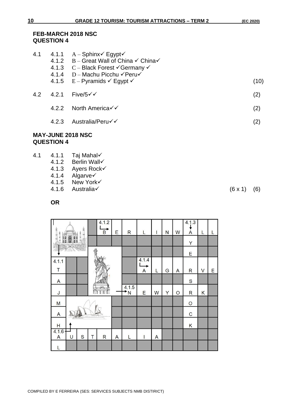#### **FEB-MARCH 2018 NSC QUESTION 4**

| 4.1 | 4.1.1 | $A - S$ phinx $\checkmark$ Egypt $\checkmark$<br>4.1.2 $B -$ Great Wall of China $\checkmark$ China $\checkmark$<br>4.1.3 $C - Black Forest \checkmark$ Germany $\checkmark$<br>4.1.4 D - Machu Picchu YPeru<br>4.1.5 $E - Pyramids \checkmark \; Egypt \checkmark$ | (10) |
|-----|-------|---------------------------------------------------------------------------------------------------------------------------------------------------------------------------------------------------------------------------------------------------------------------|------|
| 4.2 | 4.2.1 | Five/5√√                                                                                                                                                                                                                                                            | (2)  |
|     | 4.2.2 | North America√√                                                                                                                                                                                                                                                     | (2)  |
|     | 4.2.3 | Australia/Peru√√                                                                                                                                                                                                                                                    | (2)  |
|     |       |                                                                                                                                                                                                                                                                     |      |

#### **MAY-JUNE 2018 NSC QUESTION 4**

- 4.1 4.1.1 Taj Mahal√
	- 4.1.2 Berlin Wall√
	- 4.1.3 Ayers Rock√<br>4.1.4 Algarve√
	- Algarve√
	- 4.1.5 New York√

 $\vert$  4.1.2

Τ

T

T

Τ

Τ

4.1.6 Australia✓ (6 x 1) (6)

 $\lambda$ 

**OR**

 $\sqrt{2}$ 

|  | $(6 \times 1)$ | (6) |
|--|----------------|-----|
|  |                |     |

 $|4.1.3|$ 

 $\mathbf{I}$ 

| g<br>兦                | Ent. | 莒<br>ц       |           | $\overline{B}$ | Ε              | $\mathsf R$                   | $\overline{L}$ | L | N | W       | $\bm{\Lambda}$ | L |   |
|-----------------------|------|--------------|-----------|----------------|----------------|-------------------------------|----------------|---|---|---------|----------------|---|---|
|                       |      |              |           |                |                |                               |                |   |   |         | Y              |   |   |
|                       |      |              | ę         |                |                |                               |                |   |   |         | E              |   |   |
| 4.1.1                 |      |              |           |                |                |                               | 4.1.4          |   |   |         |                |   |   |
| Τ                     |      |              |           |                |                |                               | A              | L | G | A       | R              | V | E |
| $\mathsf{A}$          |      |              |           |                |                |                               |                |   |   |         | S              |   |   |
| J                     |      |              |           | (m)<br>Ŀ       |                | 4.1.5<br>$\star_{\mathsf{N}}$ | E              | W | Y | $\circ$ | R              | K |   |
| M                     |      |              |           |                |                |                               |                |   |   |         | $\circ$        |   |   |
| A                     |      | Tra to Maana | <b>TO</b> |                |                |                               |                |   |   |         | C              |   |   |
| H                     |      |              |           |                |                |                               |                |   |   |         | Κ              |   |   |
| 4.1.6<br>$\mathsf{A}$ | U    | S            | T         | $\mathsf{R}$   | $\overline{A}$ | L                             | l              | A |   |         |                |   |   |
|                       |      |              |           |                |                |                               |                |   |   |         |                |   |   |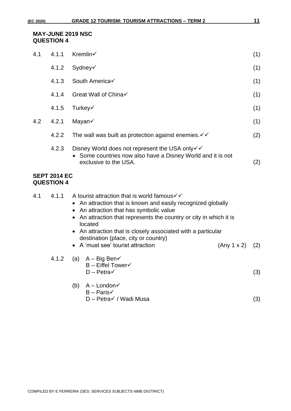#### **MAY-JUNE 2019 NSC QUESTION 4**

| 4.1 | 4.1.1                                    | Kremlin√                                                                                                                                                                                                                                                                                                                                                                                                               | (1) |  |  |  |  |  |
|-----|------------------------------------------|------------------------------------------------------------------------------------------------------------------------------------------------------------------------------------------------------------------------------------------------------------------------------------------------------------------------------------------------------------------------------------------------------------------------|-----|--|--|--|--|--|
|     | 4.1.2                                    | Sydney√                                                                                                                                                                                                                                                                                                                                                                                                                | (1) |  |  |  |  |  |
|     | 4.1.3                                    | South America√                                                                                                                                                                                                                                                                                                                                                                                                         | (1) |  |  |  |  |  |
|     | 4.1.4                                    | Great Wall of China√                                                                                                                                                                                                                                                                                                                                                                                                   | (1) |  |  |  |  |  |
|     | 4.1.5                                    | Turkey√                                                                                                                                                                                                                                                                                                                                                                                                                | (1) |  |  |  |  |  |
| 4.2 | 4.2.1                                    | Mayan√                                                                                                                                                                                                                                                                                                                                                                                                                 | (1) |  |  |  |  |  |
|     | 4.2.2                                    | The wall was built as protection against enemies. $\checkmark\checkmark$                                                                                                                                                                                                                                                                                                                                               | (2) |  |  |  |  |  |
|     | 4.2.3                                    | Disney World does not represent the USA only√√<br>• Some countries now also have a Disney World and it is not<br>exclusive to the USA.<br>(2)                                                                                                                                                                                                                                                                          |     |  |  |  |  |  |
|     | <b>SEPT 2014 EC</b><br><b>QUESTION 4</b> |                                                                                                                                                                                                                                                                                                                                                                                                                        |     |  |  |  |  |  |
| 4.1 | 4.1.1                                    | A tourist attraction that is world famous $\checkmark\checkmark$<br>• An attraction that is known and easily recognized globally<br>An attraction that has symbolic value<br>• An attraction that represents the country or city in which it is<br>located<br>• An attraction that is closely associated with a particular<br>destination (place, city or country)<br>• A 'must see' tourist attraction<br>(Any 1 x 2) | (2) |  |  |  |  |  |
|     | 4.1.2                                    | (a) $A - Big Ben \checkmark$<br>$B$ – Eiffel Tower $\checkmark$<br>$D - Petra \checkmark$                                                                                                                                                                                                                                                                                                                              | (3) |  |  |  |  |  |
|     |                                          | $A -$ London $\checkmark$<br>(b)<br>$B - ParisV$<br>D - Petra√ / Wadi Musa                                                                                                                                                                                                                                                                                                                                             | (3) |  |  |  |  |  |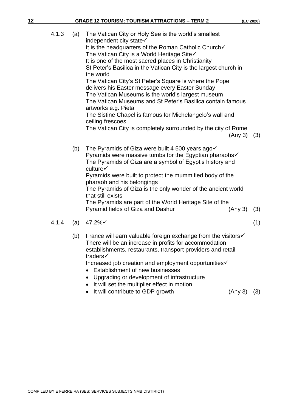| 4.1.3 | (a) | The Vatican City or Holy See is the world's smallest<br>independent city state $\checkmark$<br>It is the headquarters of the Roman Catholic Church√<br>The Vatican City is a World Heritage Site $\checkmark$<br>It is one of the most sacred places in Christianity<br>St Peter's Basilica in the Vatican City is the largest church in<br>the world<br>The Vatican City's St Peter's Square is where the Pope<br>delivers his Easter message every Easter Sunday<br>The Vatican Museums is the world's largest museum<br>The Vatican Museums and St Peter's Basilica contain famous<br>artworks e.g. Pieta<br>The Sistine Chapel is famous for Michelangelo's wall and<br>ceiling frescoes<br>The Vatican City is completely surrounded by the city of Rome<br>(Any 3) | (3) |
|-------|-----|--------------------------------------------------------------------------------------------------------------------------------------------------------------------------------------------------------------------------------------------------------------------------------------------------------------------------------------------------------------------------------------------------------------------------------------------------------------------------------------------------------------------------------------------------------------------------------------------------------------------------------------------------------------------------------------------------------------------------------------------------------------------------|-----|
|       | (b) | The Pyramids of Giza were built 4 500 years ago√<br>Pyramids were massive tombs for the Egyptian pharaohs√<br>The Pyramids of Giza are a symbol of Egypt's history and<br>culture√<br>Pyramids were built to protect the mummified body of the<br>pharaoh and his belongings<br>The Pyramids of Giza is the only wonder of the ancient world<br>that still exists<br>The Pyramids are part of the World Heritage Site of the<br>Pyramid fields of Giza and Dashur<br>(Any 3)                                                                                                                                                                                                                                                                                             | (3) |
| 4.1.4 | (a) | 47.2%√                                                                                                                                                                                                                                                                                                                                                                                                                                                                                                                                                                                                                                                                                                                                                                   | (1) |

- - (b) France will earn valuable foreign exchange from the visitors√ There will be an increase in profits for accommodation establishments, restaurants, transport providers and retail traders✓

Increased job creation and employment opportunities✓

- Establishment of new businesses
- Upgrading or development of infrastructure
- It will set the multiplier effect in motion
- It will contribute to GDP growth (Any 3) (3)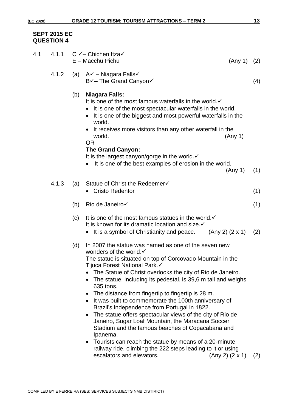#### **SEPT 2015 EC QUESTION 4**

| 4.1 | 4.1.1 |     | $C$ $\checkmark$ - Chichen Itza $\checkmark$<br>$E - Macchu$ Pichu                                                                                                                                                                                                                                                                                                                                                                                                                                                                                                                                                                                                                                                                                                                                                                   | (Any 1) | (2) |
|-----|-------|-----|--------------------------------------------------------------------------------------------------------------------------------------------------------------------------------------------------------------------------------------------------------------------------------------------------------------------------------------------------------------------------------------------------------------------------------------------------------------------------------------------------------------------------------------------------------------------------------------------------------------------------------------------------------------------------------------------------------------------------------------------------------------------------------------------------------------------------------------|---------|-----|
|     | 4.1.2 |     | (a) $A\checkmark$ – Niagara Falls $\checkmark$<br>B√- The Grand Canyon√                                                                                                                                                                                                                                                                                                                                                                                                                                                                                                                                                                                                                                                                                                                                                              |         | (4) |
|     |       | (b) | <b>Niagara Falls:</b><br>It is one of the most famous waterfalls in the world. $\checkmark$<br>It is one of the most spectacular waterfalls in the world.<br>It is one of the biggest and most powerful waterfalls in the<br>world.<br>• It receives more visitors than any other waterfall in the<br>world.<br>(Any 1)<br><b>OR</b><br><b>The Grand Canyon:</b><br>It is the largest canyon/gorge in the world. $\checkmark$                                                                                                                                                                                                                                                                                                                                                                                                        |         |     |
|     |       |     | It is one of the best examples of erosion in the world.<br>(Any 1)                                                                                                                                                                                                                                                                                                                                                                                                                                                                                                                                                                                                                                                                                                                                                                   |         | (1) |
|     | 4.1.3 | (a) | Statue of Christ the Redeemer√<br><b>Cristo Redentor</b><br>$\bullet$                                                                                                                                                                                                                                                                                                                                                                                                                                                                                                                                                                                                                                                                                                                                                                |         | (1) |
|     |       | (b) | Rio de Janeiro√                                                                                                                                                                                                                                                                                                                                                                                                                                                                                                                                                                                                                                                                                                                                                                                                                      |         | (1) |
|     |       | (c) | It is one of the most famous statues in the world. $\checkmark$<br>It is known for its dramatic location and size. <del>✓</del><br>• It is a symbol of Christianity and peace. (Any 2) $(2 \times 1)$                                                                                                                                                                                                                                                                                                                                                                                                                                                                                                                                                                                                                                |         | (2) |
|     |       | (d) | In 2007 the statue was named as one of the seven new<br>wonders of the world.√<br>The statue is situated on top of Corcovado Mountain in the<br>Tijuca Forest National Park.√<br>The Statue of Christ overlooks the city of Rio de Janeiro.<br>The statue, including its pedestal, is 39,6 m tall and weighs<br>635 tons.<br>The distance from fingertip to fingertip is 28 m.<br>٠<br>It was built to commemorate the 100th anniversary of<br>$\bullet$<br>Brazil's independence from Portugal in 1822.<br>The statue offers spectacular views of the city of Rio de<br>$\bullet$<br>Janeiro, Sugar Loaf Mountain, the Maracana Soccer<br>Stadium and the famous beaches of Copacabana and<br>Ipanema.<br>Tourists can reach the statue by means of a 20-minute<br>٠<br>railway ride, climbing the 222 steps leading to it or using |         |     |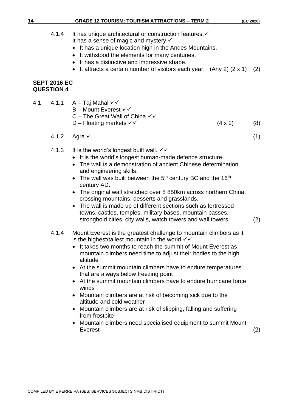## **14 GRADE 12 TOURISM: TOURISM ATTRACTIONS – TERM 2 (EC 2020)**

|     |                              | <b>GRADE 12 TOURISM: TOURISM ATTRACTIONS – TERM 2</b>                                                                                                                                                                                                                                                                                                                                                                                                                                                                                                                                                                                   | (EC 2020) |
|-----|------------------------------|-----------------------------------------------------------------------------------------------------------------------------------------------------------------------------------------------------------------------------------------------------------------------------------------------------------------------------------------------------------------------------------------------------------------------------------------------------------------------------------------------------------------------------------------------------------------------------------------------------------------------------------------|-----------|
|     | 4.1.4<br><b>SEPT 2016 EC</b> | It has unique architectural or construction features.<br>It has a sense of magic and mystery $\checkmark$<br>• It has a unique location high in the Andes Mountains.<br>It withstood the elements for many centuries.<br>$\bullet$<br>• It has a distinctive and impressive shape.<br>• It attracts a certain number of visitors each year. (Any 2) $(2 \times 1)$ (2)                                                                                                                                                                                                                                                                  |           |
|     | <b>QUESTION 4</b>            |                                                                                                                                                                                                                                                                                                                                                                                                                                                                                                                                                                                                                                         |           |
| 4.1 |                              | 4.1.1 $A - Taj Mahal \checkmark$<br>B - Mount Everest √√<br>C – The Great Wall of China $\checkmark\checkmark$<br>D – Floating markets $\checkmark\checkmark$<br>$(4 \times 2)$                                                                                                                                                                                                                                                                                                                                                                                                                                                         | (8)       |
|     | 4.1.2                        | Agra <del>✓</del>                                                                                                                                                                                                                                                                                                                                                                                                                                                                                                                                                                                                                       | (1)       |
|     | 4.1.3                        | It is the world's longest built wall. $\checkmark\checkmark$<br>• It is the world's longest human-made defence structure.<br>• The wall is a demonstration of ancient Chinese determination<br>and engineering skills.<br>• The wall was built between the $5th$ century BC and the 16 <sup>th</sup><br>century AD.<br>• The original wall stretched over 8 850km across northern China,<br>crossing mountains, desserts and grasslands.<br>• The wall is made up of different sections such as fortressed<br>towns, castles, temples, military bases, mountain passes,<br>stronghold cities, city walls, watch towers and wall towers. | (2)       |
|     | 4.1.4                        | Mount Everest is the greatest challenge to mountain climbers as it<br>is the highest/tallest mountain in the world $\checkmark$<br>It takes two months to reach the summit of Mount Everest as<br>mountain climbers need time to adjust their bodies to the high<br>altitude<br>• At the summit mountain climbers have to endure temperatures<br>that are always below freezing point<br>At the summit mountain climbers have to endure hurricane force<br>winds<br>Mountain climbers are at risk of becoming sick due to the<br>altitude and cold weather                                                                              |           |

- Mountain climbers are at risk of slipping, falling and suffering from frostbite
- Mountain climbers need specialised equipment to summit Mount Everest (2)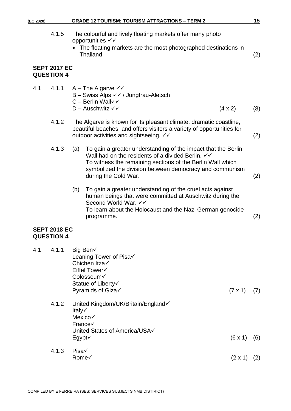| (EC 2020) |                                          |                  | <b>GRADE 12 TOURISM: TOURISM ATTRACTIONS - TERM 2</b>                                                                                                                                                                                                                 |                | 15  |
|-----------|------------------------------------------|------------------|-----------------------------------------------------------------------------------------------------------------------------------------------------------------------------------------------------------------------------------------------------------------------|----------------|-----|
|           | 4.1.5                                    |                  | The colourful and lively floating markets offer many photo<br>opportunities √√<br>The floating markets are the most photographed destinations in<br><b>Thailand</b>                                                                                                   |                | (2) |
|           | <b>SEPT 2017 EC</b><br><b>QUESTION 4</b> |                  |                                                                                                                                                                                                                                                                       |                |     |
| 4.1       | 4.1.1                                    |                  | A – The Algarve $\checkmark$<br>B - Swiss Alps $\checkmark\checkmark$ / Jungfrau-Aletsch<br>$C -$ Berlin Wall $\checkmark$<br>$D -$ Auschwitz $\checkmark$                                                                                                            | $(4 \times 2)$ | (8) |
|           | 4.1.2                                    |                  | The Algarve is known for its pleasant climate, dramatic coastline,<br>beautiful beaches, and offers visitors a variety of opportunities for<br>outdoor activities and sightseeing. √√                                                                                 |                | (2) |
|           | 4.1.3                                    | (a)              | To gain a greater understanding of the impact that the Berlin<br>Wall had on the residents of a divided Berlin. $∨∨$<br>To witness the remaining sections of the Berlin Wall which<br>symbolized the division between democracy and communism<br>during the Cold War. |                | (2) |
|           |                                          | (b)              | To gain a greater understanding of the cruel acts against<br>human beings that were committed at Auschwitz during the<br>Second World War. √√<br>To learn about the Holocaust and the Nazi German genocide<br>programme.                                              |                | (2) |
|           | <b>SEPT 2018 EC</b><br><b>QUESTION 4</b> |                  |                                                                                                                                                                                                                                                                       |                |     |
| 4.1       | 4.1.1                                    |                  | Big Ben√<br>Leaning Tower of Pisa√<br>Chichen Itza√<br>Eiffel Tower√<br>Colosseum√<br>Statue of Liberty√<br>Pyramids of Giza√                                                                                                                                         | $(7 \times 1)$ | (7) |
|           | 4.1.2                                    | Italy√<br>Egypt√ | United Kingdom/UK/Britain/England<br>Mexico√<br>France√<br>United States of America/USA√                                                                                                                                                                              | (6x1)          | (6) |
|           | 4.1.3                                    | Pisa√            | Rome√                                                                                                                                                                                                                                                                 | $(2 \times 1)$ | (2) |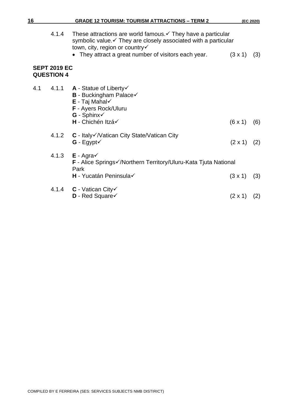| 16  |                                          | <b>GRADE 12 TOURISM: TOURISM ATTRACTIONS - TERM 2</b>                                                                                                                                                                                |                | (EC 2020) |
|-----|------------------------------------------|--------------------------------------------------------------------------------------------------------------------------------------------------------------------------------------------------------------------------------------|----------------|-----------|
|     | 4.1.4                                    | These attractions are world famous. $\checkmark$ They have a particular<br>symbolic value. • They are closely associated with a particular<br>town, city, region or country√<br>• They attract a great number of visitors each year. | $(3 \times 1)$ | (3)       |
|     | <b>SEPT 2019 EC</b><br><b>QUESTION 4</b> |                                                                                                                                                                                                                                      |                |           |
| 4.1 |                                          | 4.1.1 <b>A</b> - Statue of Liberty $\checkmark$<br><b>B</b> - Buckingham Palace√<br>$E - Taj Mahal \checkmark$<br>F - Ayers Rock/Uluru<br>$G - Sphinx \checkmark$<br>H - Chichén Itzá√                                               | $(6 \times 1)$ | (6)       |
|     | 4.1.2                                    | C - Italy√/Vatican City State/Vatican City<br>$G - Egypt \checkmark$                                                                                                                                                                 | $(2 \times 1)$ | (2)       |
|     |                                          | 4.1.3 $E - Agra\checkmark$<br><b>F</b> - Alice Springs√/Northern Territory/Uluru-Kata Tjuta National<br>Park<br>H - Yucatán Peninsula√                                                                                               | $(3 \times 1)$ | (3)       |
|     |                                          | 4.1.4 $C$ - Vatican City $\checkmark$<br>D - Red Square                                                                                                                                                                              | $(2 \times 1)$ | (2)       |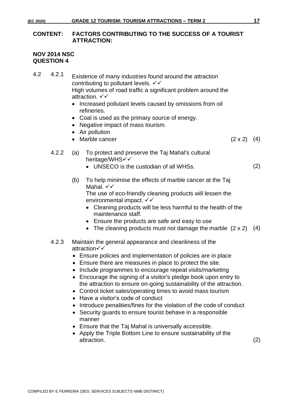#### **CONTENT: FACTORS CONTRIBUTING TO THE SUCCESS OF A TOURIST ATTRACTION:**

#### **NOV 2014 NSC QUESTION 4**

4.2 4.2.1 Existence of many industries found around the attraction contributing to pollutant levels.  $√$ High volumes of road traffic a significant problem around the attraction. ✓✓

- Increased pollutant levels caused by omissions from oil refineries.
- Coal is used as the primary source of energy.
- Negative impact of mass tourism.
- Air pollution
- Marble cancer  $(2 \times 2)$   $(4)$ 
	-
- 4.2.2 (a) To protect and preserve the Taj Mahal's cultural heritage/WHS<del></del>
	- UNSECO is the custodian of all WHSs. (2)

(b) To help minimise the effects of marble cancer at the Taj Mahal. <del>✓✓</del>

The use of eco-friendly cleaning products will lessen the environmental impact.  $∨$ 

- Cleaning products will be less harmful to the health of the maintenance staff.
- Ensure the products are safe and easy to use
- The cleaning products must not damage the marble  $(2 \times 2)$   $(4)$

#### 4.2.3 Maintain the general appearance and cleanliness of the attraction✓✓

- Ensure policies and implementation of policies are in place
- Ensure there are measures in place to protect the site.
- Include programmes to encourage repeat visits/marketing
- Encourage the signing of a visitor's pledge book upon entry to the attraction to ensure on-going sustainability of the attraction.
- Control ticket sales/operating times to avoid mass tourism
- Have a visitor's code of conduct
- Introduce penalities/fines for the violation of the code of conduct
- Security guards to ensure tourist behave in a responsible manner
- Ensure that the Taj Mahal is universally accessible.
- Apply the Triple Bottom Line to ensure sustainability of the attraction. (2)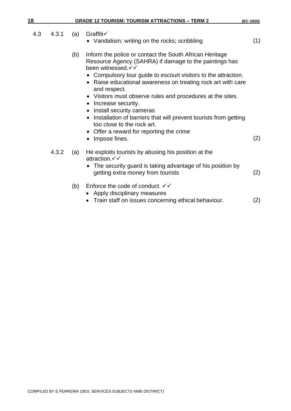| 18  |       |     | <b>GRADE 12 TOURISM: TOURISM ATTRACTIONS - TERM 2</b>                                                                                                                                                                                                                                                                                                                                                                                                                                                                                                                             | (EC 2020) |
|-----|-------|-----|-----------------------------------------------------------------------------------------------------------------------------------------------------------------------------------------------------------------------------------------------------------------------------------------------------------------------------------------------------------------------------------------------------------------------------------------------------------------------------------------------------------------------------------------------------------------------------------|-----------|
| 4.3 | 4.3.1 | (a) | Graffiti√<br>• Vandalism; writing on the rocks; scribbling                                                                                                                                                                                                                                                                                                                                                                                                                                                                                                                        | (1)       |
|     |       | (b) | Inform the police or contact the South African Heritage<br>Resource Agency (SAHRA) if damage to the paintings has<br>been witnessed. V V<br>• Compulsory tour guide to escourt visitors to the attraction.<br>• Raise educational awareness on treating rock art with care<br>and respect.<br>• Visitors must observe rules and procedures at the sites.<br>• Increase security.<br>• Install security cameras<br>• Installation of barriers that will prevent tourists from getting<br>too close to the rock art.<br>• Offer a reward for reporting the crime<br>• Impose fines. | (2)       |
|     | 4.3.2 | (a) | He exploits tourists by abusing his position at the<br>attraction. ✓ ✓<br>• The security guard is taking advantage of his position by<br>getting extra money from tourists                                                                                                                                                                                                                                                                                                                                                                                                        | (2)       |
|     |       | (b) | Enforce the code of conduct. $\checkmark\checkmark$<br>Apply disciplinary measures<br>Train staff on issues concerning ethical behaviour.                                                                                                                                                                                                                                                                                                                                                                                                                                         | (2)       |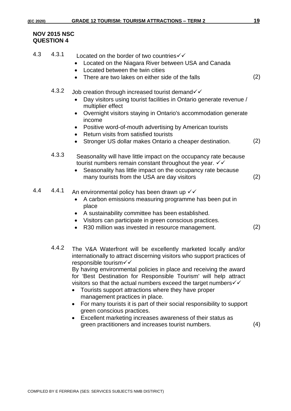#### **NOV 2015 NSC QUESTION 4**

| 4.3 | 4.3.1 | Located on the border of two countries $\checkmark\checkmark$<br>Located on the Niagara River between USA and Canada<br>Located between the twin cities<br>There are two lakes on either side of the falls                                                                                                                                                                                                                                                                                                                                                             | (2) |
|-----|-------|------------------------------------------------------------------------------------------------------------------------------------------------------------------------------------------------------------------------------------------------------------------------------------------------------------------------------------------------------------------------------------------------------------------------------------------------------------------------------------------------------------------------------------------------------------------------|-----|
|     | 4.3.2 | Job creation through increased tourist demand√√<br>Day visitors using tourist facilities in Ontario generate revenue /<br>multiplier effect<br>Overnight visitors staying in Ontario's accommodation generate<br>$\bullet$<br>income<br>Positive word-of-mouth advertising by American tourists<br>$\bullet$<br>Return visits from satisfied tourists<br>Stronger US dollar makes Ontario a cheaper destination.                                                                                                                                                       | (2) |
|     | 4.3.3 | Seasonality will have little impact on the occupancy rate because<br>tourist numbers remain constant throughout the year. $\checkmark\checkmark$<br>Seasonality has little impact on the occupancy rate because<br>many tourists from the USA are day visitors                                                                                                                                                                                                                                                                                                         | (2) |
| 4.4 | 4.4.1 | An environmental policy has been drawn up $\checkmark\checkmark$<br>A carbon emissions measuring programme has been put in<br>place<br>A sustainability committee has been established.<br>Visitors can participate in green conscious practices.<br>R30 million was invested in resource management.<br>$\bullet$                                                                                                                                                                                                                                                     | (2) |
|     | 4.4.2 | The V&A Waterfront will be excellently marketed locally and/or<br>internationally to attract discerning visitors who support practices of<br>responsible tourism√√<br>By having environmental policies in place and receiving the award<br>for 'Best Destination for Responsible Tourism' will help attract<br>visitors so that the actual numbers exceed the target numbers $\checkmark\checkmark$<br>Tourists support attractions where they have proper<br>management practices in place.<br>For many tourists it is part of their social responsibility to support |     |

- green conscious practices.
- Excellent marketing increases awareness of their status as green practitioners and increases tourist numbers. (4)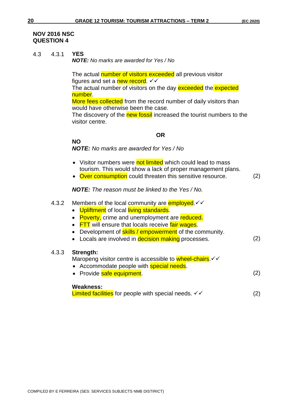#### **NOV 2016 NSC QUESTION 4**

4.3 4.3.1 **YES**

*NOTE: No marks are awarded for Yes / No*

The actual number of visitors exceeded all previous visitor figures and set a new record.  $\checkmark\checkmark$ The actual number of visitors on the day exceeded the expected

number. More fees collected from the record number of daily visitors than would have otherwise been the case.

The discovery of the new fossil increased the tourist numbers to the visitor centre.

#### **OR**

**NO**

*NOTE: No marks are awarded for Yes / No*

- Visitor numbers were not limited which could lead to mass tourism. This would show a lack of proper management plans.
- Over consumption could threaten this sensitive resource. (2)

*NOTE: The reason must be linked to the Yes / No.*

| 4.3.2 | Members of the local community are <b>employed</b> . $\checkmark\checkmark$<br>Upliftment of local living standards.<br>$\bullet$<br><b>Poverty, crime and unemployment are reduced.</b><br>$\bullet$<br><b>FTT</b> will ensure that locals receive fair wages.<br>$\bullet$<br>Development of <b>skills</b> / empowerment of the community.<br>$\bullet$<br>Locals are involved in <b>decision making</b> processes.<br>$\bullet$ | (2) |
|-------|------------------------------------------------------------------------------------------------------------------------------------------------------------------------------------------------------------------------------------------------------------------------------------------------------------------------------------------------------------------------------------------------------------------------------------|-----|
| 4.3.3 | Strength:<br>Maropeng visitor centre is accessible to wheel-chairs. V V<br>• Accommodate people with <b>special needs</b> .<br>• Provide safe equipment.                                                                                                                                                                                                                                                                           | (2) |
|       | <b>Weakness:</b><br>Limited facilities for people with special needs. $\checkmark\checkmark$                                                                                                                                                                                                                                                                                                                                       |     |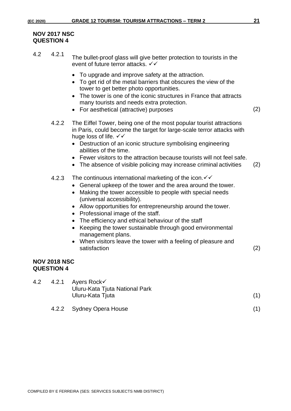#### **NOV 2017 NSC QUESTION 4**

- 4.2 4.2.1 The bullet-proof glass will give better protection to tourists in the event of future terror attacks.  $\checkmark\checkmark$ 
	- To upgrade and improve safety at the attraction.
	- To get rid of the metal barriers that obscures the view of the tower to get better photo opportunities.
	- The tower is one of the iconic structures in France that attracts many tourists and needs extra protection.
	- For aesthetical (attractive) purposes (2)
		-
	- 4.2.2 The Eiffel Tower, being one of the most popular tourist attractions in Paris, could become the target for large-scale terror attacks with huge loss of life.  $\checkmark\checkmark$ 
		- Destruction of an iconic structure symbolising engineering abilities of the time.
		- Fewer visitors to the attraction because tourists will not feel safe.
		- The absence of visible policing may increase criminal activities (2)
	- 4.2.3 The continuous international marketing of the icon.  $\checkmark\checkmark$ 
		- General upkeep of the tower and the area around the tower.
		- Making the tower accessible to people with special needs (universal accessibility).
		- Allow opportunities for entrepreneurship around the tower.
		- Professional image of the staff.
		- The efficiency and ethical behaviour of the staff
		- Keeping the tower sustainable through good environmental management plans.
		- When visitors leave the tower with a feeling of pleasure and satisfaction (2)

#### **NOV 2018 NSC QUESTION 4**

|  | 4.2 $4.2.1$ Ayers Rock $\checkmark$<br>Uluru-Kata Tjuta National Park |  |
|--|-----------------------------------------------------------------------|--|
|  | Uluru-Kata Tjuta                                                      |  |
|  | 4.2.2 Sydney Opera House                                              |  |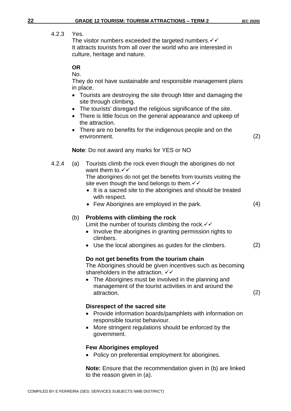#### 4.2.3 Yes.

The visitor numbers exceeded the targeted numbers.  $\checkmark\checkmark$ It attracts tourists from all over the world who are interested in culture, heritage and nature.

#### **OR**

No.

They do not have sustainable and responsible management plans in place.

- Tourists are destroying the site through litter and damaging the site through climbing.
- The tourists' disregard the religious significance of the site.
- There is little focus on the general appearance and upkeep of the attraction.
- There are no benefits for the indigenous people and on the environment. (2)

**Note**: Do not award any marks for YES or NO

4.2.4 (a) Tourists climb the rock even though the aborigines do not want them to. <del>✓✓</del>

The aborigines do not get the benefits from tourists visiting the site even though the land belongs to them.  $\checkmark\checkmark$ 

- It is a sacred site to the aborigines and should be treated with respect.
- Few Aborigines are employed in the park. (4)

#### (b) **Problems with climbing the rock**

Limit the number of tourists climbing the rock.  $∨$ 

- Involve the aborigines in granting permission rights to climbers.
- Use the local aborigines as guides for the climbers. (2)

#### **Do not get benefits from the tourism chain**

The Aborigines should be given incentives such as becoming shareholders in the attraction.  $√$ 

• The Aborigines must be involved in the planning and management of the tourist activities in and around the attraction. (2)

#### **Disrespect of the sacred site**

- Provide information boards/pamphlets with information on responsible tourist behaviour.
- More stringent regulations should be enforced by the government.

#### **Few Aborigines employed**

• Policy on preferential employment for aborigines.

**Note:** Ensure that the recommendation given in (b) are linked to the reason given in (a).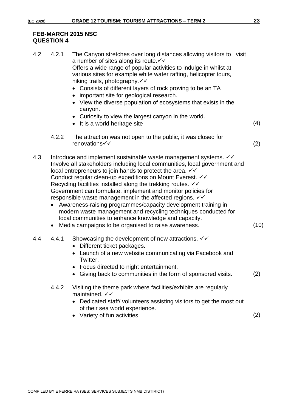#### **FEB-MARCH 2015 NSC QUESTION 4**

| 4.2 | 4.2.1                  | The Canyon stretches over long distances allowing visitors to visit<br>a number of sites along its route. V V<br>Offers a wide range of popular activities to indulge in whilst at<br>various sites for example white water rafting, helicopter tours,<br>hiking trails, photography. <del>√ ✓</del><br>Consists of different layers of rock proving to be an TA<br>• important site for geological research.<br>• View the diverse population of ecosystems that exists in the<br>canyon.<br>Curiosity to view the largest canyon in the world.<br>• It is a world heritage site                                                                                                                                                                                | (4)  |
|-----|------------------------|------------------------------------------------------------------------------------------------------------------------------------------------------------------------------------------------------------------------------------------------------------------------------------------------------------------------------------------------------------------------------------------------------------------------------------------------------------------------------------------------------------------------------------------------------------------------------------------------------------------------------------------------------------------------------------------------------------------------------------------------------------------|------|
|     | 4.2.2                  | The attraction was not open to the public, it was closed for<br>renovations√√                                                                                                                                                                                                                                                                                                                                                                                                                                                                                                                                                                                                                                                                                    | (2)  |
| 4.3 | $\bullet$<br>$\bullet$ | Introduce and implement sustainable waste management systems. VV<br>Involve all stakeholders including local communities, local government and<br>local entrepreneurs to join hands to protect the area. $∨∨$<br>Conduct regular clean-up expeditions on Mount Everest. VV<br>Recycling facilities installed along the trekking routes. $\checkmark\checkmark$<br>Government can formulate, implement and monitor policies for<br>responsible waste management in the affected regions. $\checkmark\checkmark$<br>Awareness-raising programmes/capacity development training in<br>modern waste management and recycling techniques conducted for<br>local communities to enhance knowledge and capacity.<br>Media campaigns to be organised to raise awareness. | (10) |
| 4.4 | 4.4.1                  | Showcasing the development of new attractions. $\checkmark\checkmark$<br>Different ticket packages.<br>$\bullet$<br>Launch of a new website communicating via Facebook and<br>Twitter.<br>• Focus directed to night entertainment.<br>Giving back to communities in the form of sponsored visits.                                                                                                                                                                                                                                                                                                                                                                                                                                                                | (2)  |
|     | 4.4.2                  | Visiting the theme park where facilities/exhibits are regularly<br>maintained. $\checkmark\checkmark$<br>Dedicated staff/volunteers assisting visitors to get the most out<br>of their sea world experience.<br>Variety of fun activities                                                                                                                                                                                                                                                                                                                                                                                                                                                                                                                        | (2)  |
|     |                        |                                                                                                                                                                                                                                                                                                                                                                                                                                                                                                                                                                                                                                                                                                                                                                  |      |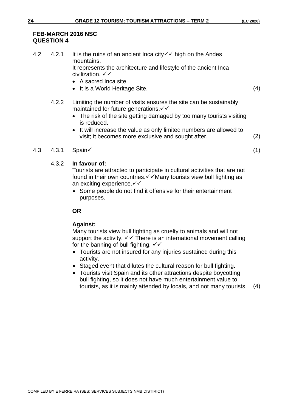#### **FEB-MARCH 2016 NSC QUESTION 4**

| 4.2 | 4.2.1 | It is the ruins of an ancient lnca city $\checkmark\checkmark$ high on the Andes                         |  |
|-----|-------|----------------------------------------------------------------------------------------------------------|--|
|     |       | mountains.                                                                                               |  |
|     |       | It represents the architecture and lifestyle of the ancient Inca<br>civilization. $\checkmark\checkmark$ |  |
|     |       | . A coored lnoo oite                                                                                     |  |

- A sacred Inca site
- It is a World Heritage Site. (4)
- 4.2.2 Limiting the number of visits ensures the site can be sustainably maintained for future generations.  $\checkmark\checkmark$ 
	- The risk of the site getting damaged by too many tourists visiting is reduced.
	- It will increase the value as only limited numbers are allowed to visit; it becomes more exclusive and sought after. (2)

#### 4.3 4.3.1 Spain✓ (1)

#### 4.3.2 **In favour of:**

Tourists are attracted to participate in cultural activities that are not found in their own countries.✓✓Many tourists view bull fighting as an exciting experience.  $∨$ 

• Some people do not find it offensive for their entertainment purposes.

#### **OR**

#### **Against:**

Many tourists view bull fighting as cruelty to animals and will not support the activity.  $\checkmark\checkmark$  There is an international movement calling for the banning of bull fighting.  $\checkmark\checkmark$ 

- Tourists are not insured for any injuries sustained during this activity.
- Staged event that dilutes the cultural reason for bull fighting.
- Tourists visit Spain and its other attractions despite boycotting bull fighting, so it does not have much entertainment value to tourists, as it is mainly attended by locals, and not many tourists. (4)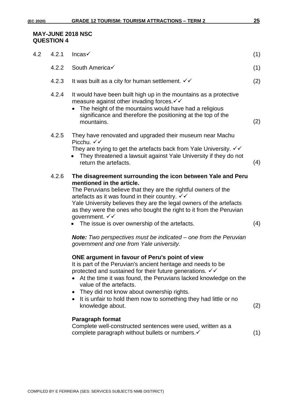#### **MAY-JUNE 2018 NSC QUESTION 4**

| 4.2 | 4.2.1 | Incas $\checkmark$                                                                                                                                                                                                                                                                                                                                                                                                                               | (1) |
|-----|-------|--------------------------------------------------------------------------------------------------------------------------------------------------------------------------------------------------------------------------------------------------------------------------------------------------------------------------------------------------------------------------------------------------------------------------------------------------|-----|
|     | 4.2.2 | South America√                                                                                                                                                                                                                                                                                                                                                                                                                                   | (1) |
|     | 4.2.3 | It was built as a city for human settlement. $\checkmark\checkmark$                                                                                                                                                                                                                                                                                                                                                                              | (2) |
|     | 4.2.4 | It would have been built high up in the mountains as a protective<br>measure against other invading forces. V V<br>The height of the mountains would have had a religious<br>significance and therefore the positioning at the top of the<br>mountains.                                                                                                                                                                                          | (2) |
|     | 4.2.5 | They have renovated and upgraded their museum near Machu<br>Picchu, $\checkmark\checkmark$<br>They are trying to get the artefacts back from Yale University. √√<br>They threatened a lawsuit against Yale University if they do not<br>return the artefacts.                                                                                                                                                                                    | (4) |
|     | 4.2.6 | The disagreement surrounding the icon between Yale and Peru<br>mentioned in the article.<br>The Peruvians believe that they are the rightful owners of the<br>artefacts as it was found in their country. $\checkmark\checkmark$<br>Yale University believes they are the legal owners of the artefacts<br>as they were the ones who bought the right to it from the Peruvian<br>government. √√<br>The issue is over ownership of the artefacts. | (4) |
|     |       | <b>Note:</b> Two perspectives must be indicated – one from the Peruvian<br>government and one from Yale university.                                                                                                                                                                                                                                                                                                                              |     |
|     |       | ONE argument in favour of Peru's point of view<br>It is part of the Peruvian's ancient heritage and needs to be<br>protected and sustained for their future generations. √√<br>At the time it was found, the Peruvians lacked knowledge on the<br>value of the artefacts.<br>They did not know about ownership rights.<br>$\bullet$<br>It is unfair to hold them now to something they had little or no<br>$\bullet$<br>knowledge about.         | (2) |
|     |       | Paragraph format<br>Complete well-constructed sentences were used, written as a<br>complete paragraph without bullets or numbers. v                                                                                                                                                                                                                                                                                                              | (1) |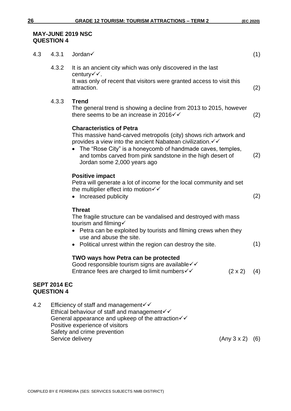### **MAY-JUNE 2019 NSC QUESTION 4**

| 4.3 | 4.3.1                                                                                                                                                                                  | Jordan√                                                                                                                                                                                                                                                                                                                        | (1) |
|-----|----------------------------------------------------------------------------------------------------------------------------------------------------------------------------------------|--------------------------------------------------------------------------------------------------------------------------------------------------------------------------------------------------------------------------------------------------------------------------------------------------------------------------------|-----|
|     | 4.3.2                                                                                                                                                                                  | It is an ancient city which was only discovered in the last<br>century $\checkmark$ .<br>It was only of recent that visitors were granted access to visit this                                                                                                                                                                 |     |
|     |                                                                                                                                                                                        | attraction.                                                                                                                                                                                                                                                                                                                    | (2) |
|     | 4.3.3                                                                                                                                                                                  | <b>Trend</b><br>The general trend is showing a decline from 2013 to 2015, however<br>there seems to be an increase in 2016 $\checkmark$                                                                                                                                                                                        | (2) |
|     |                                                                                                                                                                                        | <b>Characteristics of Petra</b><br>This massive hand-carved metropolis (city) shows rich artwork and<br>provides a view into the ancient Nabatean civilization. V V<br>The "Rose City" is a honeycomb of handmade caves, temples,<br>and tombs carved from pink sandstone in the high desert of<br>Jordan some 2,000 years ago | (2) |
|     |                                                                                                                                                                                        | <b>Positive impact</b><br>Petra will generate a lot of income for the local community and set<br>the multiplier effect into motion $\checkmark$<br>Increased publicity                                                                                                                                                         | (2) |
|     |                                                                                                                                                                                        | <b>Threat</b><br>The fragile structure can be vandalised and destroyed with mass<br>tourism and filming $\checkmark$<br>• Petra can be exploited by tourists and filming crews when they<br>use and abuse the site.<br>• Political unrest within the region can destroy the site.                                              | (1) |
|     |                                                                                                                                                                                        | TWO ways how Petra can be protected<br>Good responsible tourism signs are available√√<br>$(2 \times 2)$ (4)<br>Entrance fees are charged to limit numbers√√                                                                                                                                                                    |     |
|     | <b>SEPT 2014 EC</b><br><b>QUESTION 4</b>                                                                                                                                               |                                                                                                                                                                                                                                                                                                                                |     |
| 4.2 | Efficiency of staff and management <del>V</del><br>Ethical behaviour of staff and management√√<br>General appearance and upkeep of the attraction√√<br>Positive experience of visitors |                                                                                                                                                                                                                                                                                                                                |     |

Safety and crime prevention

Service delivery (Any 3 x 2) (6)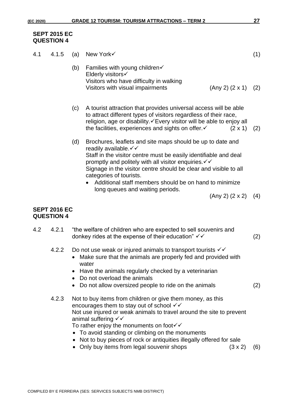#### **SEPT 2015 EC QUESTION 4**

| 4.1 | 4.1.5                                    | (a)                                                                                                                                                                                                                                                                                                                   | New York√                                                                                                                                                                                                                                                                                                                                                                                     |                 | (1) |
|-----|------------------------------------------|-----------------------------------------------------------------------------------------------------------------------------------------------------------------------------------------------------------------------------------------------------------------------------------------------------------------------|-----------------------------------------------------------------------------------------------------------------------------------------------------------------------------------------------------------------------------------------------------------------------------------------------------------------------------------------------------------------------------------------------|-----------------|-----|
|     |                                          | (b)                                                                                                                                                                                                                                                                                                                   | Families with young children√<br>Elderly visitors√<br>Visitors who have difficulty in walking<br>Visitors with visual impairments                                                                                                                                                                                                                                                             | (Any 2) (2 x 1) | (2) |
|     |                                          | (c)                                                                                                                                                                                                                                                                                                                   | A tourist attraction that provides universal access will be able<br>to attract different types of visitors regardless of their race,<br>religion, age or disability. <del>∕</del> Every visitor will be able to enjoy all<br>the facilities, experiences and sights on offer $\checkmark$                                                                                                     | $(2 \times 1)$  | (2) |
|     |                                          | (d)                                                                                                                                                                                                                                                                                                                   | Brochures, leaflets and site maps should be up to date and<br>readily available. V V<br>Staff in the visitor centre must be easily identifiable and deal<br>promptly and politely with all visitor enquiries. $\checkmark\checkmark$<br>Signage in the visitor centre should be clear and visible to all<br>categories of tourists.<br>Additional staff members should be on hand to minimize |                 |     |
|     |                                          |                                                                                                                                                                                                                                                                                                                       | long queues and waiting periods.                                                                                                                                                                                                                                                                                                                                                              | (Any 2) (2 x 2) | (4) |
|     | <b>SEPT 2016 EC</b><br><b>QUESTION 4</b> |                                                                                                                                                                                                                                                                                                                       |                                                                                                                                                                                                                                                                                                                                                                                               |                 |     |
| 4.2 | 4.2.1                                    |                                                                                                                                                                                                                                                                                                                       | "the welfare of children who are expected to sell souvenirs and<br>donkey rides at the expense of their education" $∨$                                                                                                                                                                                                                                                                        |                 | (2) |
|     | 4.2.2                                    | Do not use weak or injured animals to transport tourists $\checkmark\checkmark$<br>Make sure that the animals are properly fed and provided with<br>water<br>Have the animals regularly checked by a veterinarian<br>Do not overload the animals<br>Do not allow oversized people to ride on the animals<br>$\bullet$ |                                                                                                                                                                                                                                                                                                                                                                                               |                 |     |
|     | 4.2.3                                    |                                                                                                                                                                                                                                                                                                                       | Not to buy items from children or give them money, as this<br>encourages them to stay out of school $\checkmark$<br>Not use injured or weak animals to travel around the site to prevent<br>animal suffering √√<br>To rather enjoy the monuments on foot√√<br>• To avoid standing or climbing on the monuments<br>Not to buy pieces of rock or antiquities illegally offered for sale         |                 |     |

• Only buy items from legal souvenir shops (3 x 2) (6)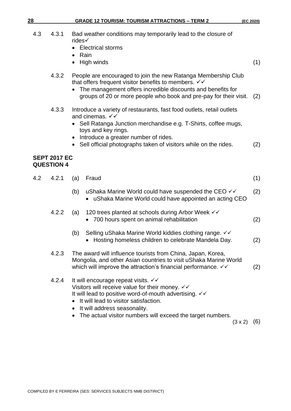|     |                                          | High winds                                                                                                                                                                                                                                                                                                                     | (1) |
|-----|------------------------------------------|--------------------------------------------------------------------------------------------------------------------------------------------------------------------------------------------------------------------------------------------------------------------------------------------------------------------------------|-----|
|     | 4.3.2                                    | People are encouraged to join the new Ratanga Membership Club<br>that offers frequent visitor benefits to members. $\checkmark\checkmark$<br>The management offers incredible discounts and benefits for<br>groups of 20 or more people who book and pre-pay for their visit.                                                  | (2) |
|     | 4.3.3                                    | Introduce a variety of restaurants, fast food outlets, retail outlets<br>and cinemas. $\checkmark\checkmark$<br>• Sell Ratanga Junction merchandise e.g. T-Shirts, coffee mugs,<br>toys and key rings.<br>Introduce a greater number of rides.<br>Sell official photographs taken of visitors while on the rides.              | (2) |
|     | <b>SEPT 2017 EC</b><br><b>QUESTION 4</b> |                                                                                                                                                                                                                                                                                                                                |     |
| 4.2 | 4.2.1                                    | Fraud<br>(a)                                                                                                                                                                                                                                                                                                                   | (1) |
|     |                                          | uShaka Marine World could have suspended the CEO $\checkmark\checkmark$<br>(b)<br>uShaka Marine World could have appointed an acting CEO                                                                                                                                                                                       | (2) |
|     | 4.2.2                                    | 120 trees planted at schools during Arbor Week √√<br>(a)<br>700 hours spent on animal rehabilitation                                                                                                                                                                                                                           | (2) |
|     |                                          | Selling uShaka Marine World kiddies clothing range. VV<br>(b)<br>Hosting homeless children to celebrate Mandela Day.                                                                                                                                                                                                           | (2) |
|     | 4.2.3                                    | The award will influence tourists from China, Japan, Korea,<br>Mongolia, and other Asian countries to visit uShaka Marine World<br>which will improve the attraction's financial performance. √√                                                                                                                               | (2) |
|     | 4.2.4                                    | It will encourage repeat visits. √√<br>Visitors will receive value for their money. $\checkmark\checkmark$<br>It will lead to positive word-of-mouth advertising. $\checkmark\checkmark$<br>It will lead to visitor satisfaction.<br>It will address seasonality.<br>The actual visitor numbers will exceed the target numbers |     |

## **SEPT 2017 EC QUESTION 4**

rides✓

• Rain

• Electrical storms

|       | Mongolia, and other Asian countries to visit uShaka Marine World<br>which will improve the attraction's financial performance. $\checkmark\checkmark$                                                                                                                                                                                                     |                | (2) |
|-------|-----------------------------------------------------------------------------------------------------------------------------------------------------------------------------------------------------------------------------------------------------------------------------------------------------------------------------------------------------------|----------------|-----|
| 4.2.4 | It will encourage repeat visits. $\checkmark\checkmark$<br>Visitors will receive value for their money. $\checkmark\checkmark$<br>It will lead to positive word-of-mouth advertising. $\checkmark\checkmark$<br>• It will lead to visitor satisfaction.<br>• It will address seasonality.<br>• The actual visitor numbers will exceed the target numbers. | $(3 \times 2)$ | (6) |
|       |                                                                                                                                                                                                                                                                                                                                                           |                |     |